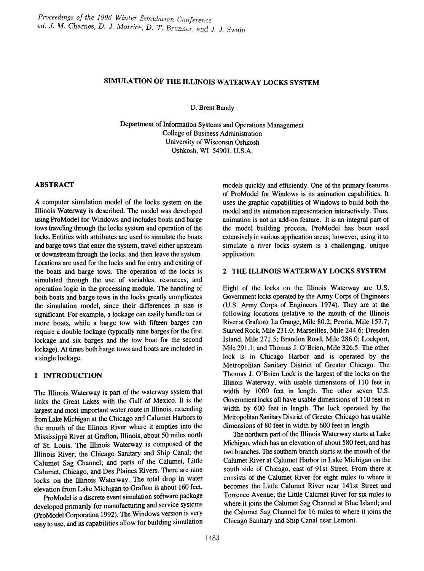# SIMULATION OF THE ILLINOIS WATERWAY LOCKS SYSTEM

D. Brent Bandy

Department of Information Systems and Operations Management College of Business Administration University of Wisconsin Oshkosh Oshkosh, WI 54901, U.S.A.

# ABSTRACT

A computer simulation model of the locks system on the Illinois Waterway is described. The model was developed using ProModel for Windows and includes boats and barge tows traveling through the locks system and operation of the locks. Entities with attributes are used to simulate the boats and barge tows that enter the system, travel either upstream or downstream through the locks, and then leave the system. Locations are used for the locks and for entry and exiting of the boats and barge tows. The operation of the locks is simulated through the use of variables, resources, and operation logic in the processing module. The handling of both boats and barge tows in the locks greatly complicates the simulation model, since their differences in size is significant. For example, a lockage can easily handle ten or more boats, while a barge tow with fifteen barges can require a double lockage (typically nine barges for the first lockage and six barges and the tow boat for the second lockage). At times both barge tows and boats are included in a single lockage.

# 1 INTRODUCTION

The Illinois Waterway is part of the waterway system that links the Great Lakes with the Gulf of Mexico. It is the largest and most important water route in lllinois, extending from Lake Michigan at the Chicago and Calumet Harbors to the mouth of the lliinois River where it empties into the Mississippi River at Grafton, lliinois, about 50 miles north of St. Louis. The lllinois Waterway is composed of the Illinois River; the Chicago Sanitary and Ship Canal; the Calumet Sag Channel; and parts of the Calumet, Little Calumet, Chicago, and Des Plaines Rivers. There are nine locks on the Illinois Waterway. The total drop in water elevation from Lake Michigan to Grafton is about 160 feet

ProModel is a discrete event simulation software package developed primarily for manufacturing and service systems (ProModel Corporation 1992). The Windows version is very easy to use, and its capabilities allow for building simulation models quickly and efficiently. One of the primary features of ProModel for Windows is its animation capabilities. It uses the graphic capabilities of Windows to build both the model and its animation representation interactively. Thus, animation is not an add-on feature. It is an integral part of the model building process. ProModel has been used extensively in various application areas; however, using it to simulate a river locks system is a challenging, unique application.

# 2 THE ILLINOIS WATERWAY LOCKS SYSTEM

Eight of the locks on the illinois Waterway are U.S. Government locks operated by the Anny Corps of Engineers (U.S. Army Corps of Engineers 1974). They are at the following locations (relative to the mouth of the lllinois River at Grafton): La Grange, Mile 80.2; Peoria, Mile 157.7; Starved Rock, Mile 231.0; Marseilles, Mile 244.6; Dresden Island, Mile 271.5; Brandon Road, Mile 286.0; Lockport, Mile 291.1; and Thomas 1. O'Brien, Mile 326.5. The other lock is in Chicago Harbor and is operated by the Metropolitan Sanitary District of Greater Chicago. The Thomas J. O'Brien Lock is the largest of the locks on the Illinois Waterway, with usable dimensions of 110 feet in width by 1000 feet in length. The other seven U.S. Government locks all have usable dimensions of 110 feet in width by 600 feet in length. The lock operated by the Metropolitan Sanitary District of Greater Chicago has usable dimensions of 80 feet in width by 600 feet in length.

The northern part of the lllinois Waterway starts at Lake Michigan, which has an elevation of about 580 feet, and has two branches. The southern branch starts at the mouth of the Calumet River at Calumet Harbor in Lake Michigan on the south side of Chicago, east of 91st Street. From there it consists of the Calumet River for eight miles to where it becomes the Little Calumet River near 141st Street and Torrence Avenue; the Little Calumet River for six miles to where it joins the Calumet Sag Channel at Blue Island; and the Calumet Sag Channel for 16 miles to where it joins the Chicago Sanitary and Ship Canal near Lemont.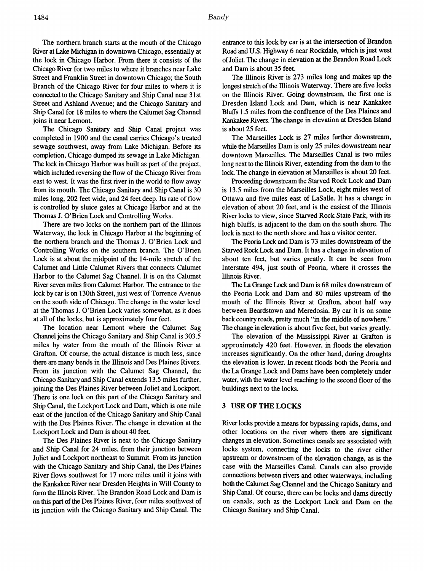The northern branch starts at the mouth of the Chicago River at Lake Michigan in downtown Chicago, essentially at the lock in Chicago Harbor. From there it consists of the Chicago River for two miles to where it branches near Lake Street and Franklin Street in downtown Chicago; the South Branch of the Chicago River for four miles to where it is connected to the Chicago Sanitary and Ship Canal near 31 st Street and Ashland Avenue; and the Chicago Sanitary and Ship Canal for 18 miles to where the Calumet Sag Channel joins it near Lemont.

The Chicago Sanitary and Ship Canal project was completed in 1900 and the canal carries Chicago's treated sewage southwest, away from Lake Michigan. Before its completion, Chicago dumped its sewage in Lake Michigan. The lock in Chicago Harbor was built as part of the project, which included reversing the flow of the Chicago River from east to west. It was the first river in the world to flow away from its mouth. The Chicago Sanitary and Ship Canal is 30 miles long, 202 feet wide, and 24 feet deep. Its rate of flow is controlled by sluice gates at Chicago Harbor and at the Thomas J. O'Brien Lock and Controlling Works.

There are two locks on the northern part of the Illinois Waterway, the lock in Chicago Harbor at the beginning of the northern branch and the Thomas 1. O'Brien Lock and Controlling Works on the southern branch. The O'Brien Lock is at about the midpoint of the 14-mile stretch of the Calumet and Little Calumet Rivers that connects Calumet Harbor to the Calumet Sag Channel. It is on the Calumet River seven miles from Calumet Harbor. The entrance to the lock by car is on 130th Street, just west of Torrence Avenue on the south side of Chicago. The change in the water level at the Thomas J. O'Brien Lock varies somewhat, as it does at all of the locks, but is approximately four feet.

The location near Lemont where the Calumet Sag Channel joins the Chicago Sanitary and Ship Canal is 303.5 miles by water from the mouth of the lllinois River at Grafton. Of course, the actual distance is much less, since there are many bends in the lllinois and Des Plaines Rivers. From its junction with the Calumet Sag Channel, the Chicago Sanitary and Ship Canal extends 13.5 miles further, joining the Des Plaines River between Joliet and Lockport. There is one lock on this part of the Chicago Sanitary and Ship Canal, the Lockport Lock and Dam, which is one mile east of the junction of the Chicago Sanitary and Ship Canal with the Des Plaines River. The change in elevation at the Lockport Lock and Dam is about 40 feet.

The Des Plaines River is next to the Chicago Sanitary and Ship Canal for 24 miles, from their junction between Joliet and Lockport northeast to Summit. From its junction with the Chicago Sanitary and Ship Canal, the Des Plaines River flows southwest for 17 more miles until it joins with the Kankakee River near Dresden Heights in Will County to form the Illinois River. The Brandon Road Lock and Dam is on this part of the Des Plaines River, four miles southwest of its junction with the Chicago Sanitary and Ship Canal. The entrance to this lock by car is at the intersection of Brandon Road and U.S. Highway 6 near Rockdale, which is just west of Joliet. The change in elevation at the Brandon Road Lock and Dam is about 35 feet.

The Illinois River is 273 miles long and makes up the longest stretch of the Illinois Waterway. There are five locks on the Illinois River. Going downstream, the first one is Dresden Island Lock and Dam, which is near Kankakee Bluffs 1.5 miles from the confluence of the Des Plaines and Kankakee Rivers. The change in elevation at Dresden Island is about 25 feet.

The Marseilles Lock is 27 miles further downstream, while the Marseilles Dam is only 25 miles downstream near downtown Marseilles. The Marseilles Canal is two miles long next to the Dlinois River, extending from the dam to the lock. The change in elevation at Marseilles is about 20 feet.

Proceeding downstream the Starved Rock Lock and Dam is 13.5 miles from the Marseilles Lock, eight miles west of Ottawa and five miles east of LaSalle. It has a change in elevation of about 20 feet, and is the easiest of the lllinois River locks to view, since Starved Rock State Park, with its high bluffs, is adjacent to the dam on the south shore. The lock is next to the north shore and has a visitor center.

The Peoria Lock and Dam is 73 miles downstream of the Starved Rock Lock and Dam. It has a change in elevation of about ten feet, but varies greatly. It can be seen from Interstate 494, just south of Peoria, where it crosses the lllinois River.

The La Grange Lock and Dam is 68 miles downstream of the Peoria Lock and Dam and 80 miles upstream of the mouth of the Illinois River at Grafton, about half way between Beardstown and Meredosia. By car it is on some back country roads, pretty much "in the middle of nowhere." The change in elevation is about five feet, but varies greatly.

The elevation of the Mississippi River at Grafton is approximately 420 feet. However, in floods the elevation increases significantly. On the other hand, during droughts the elevation is lower. In recent floods both the Peoria and the La Grange Lock and Darns have been completely under water, with the water level reaching to the second floor of the buildings next to the locks.

# 3 USE OF THE LOCKS

River locks provide a means for bypassing rapids, dams, and other locations on the river where there are significant changes in elevation. Sometimes canals are associated with locks system, connecting the locks to the river either upstream or downstream of the elevation change, as is the case with the Marseilles Canal. Canals can also provide connections between rivers and other waterways, including both the Calumet Sag Channel and the Chicago Sanitary and Ship Canal. Of course, there can be locks and dams directly on canals, such as the Lockport Lock and Dam on the Chicago Sanitary and Ship Canal.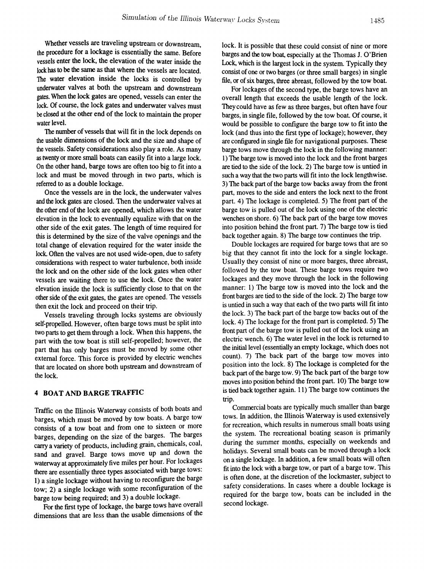Whether vessels are traveling upstream or downstream, the procedure for a lockage is essentially the same. Before vessels enter the lock, the elevation of the water inside the lock has to be the same as that where the vessels are located. The water elevation inside the locks is controlled by underwater valves at both the upstream and downstream gates. When the lock gates are opened, vessels can enter the lock. Of course, the lock gates and underwater valves must be closed at the other end of the lock to maintain the proper water level.

The number of vessels that will fit in the lock depends on the usable dimensions of the lock and the size and shape of the vessels. Safety considerations also play a role. As many as twenty or more small boats can easily fit into a large lock. On the other hand, barge tows are often too big to fit into a lock and must be moved through in two parts, which is referred to as a double lockage.

Once the vessels are in the lock, the underwater valves and the lock gates are closed. Then the underwater valves at the other end of the lock are opened, which allows the water elevation in the lock to eventually equalize with that on the other side of the exit gates. The length of time required for this is determined by the size of the valve openings and the total change of elevation required for the water inside the lock. Often the valves are not used wide-open, due to safety considerations with respect to water turbulence, both inside the lock and on the other side of the lock gates when other vessels are waiting there to use the lock. Once the water elevation inside the lock is sufficiently close to that on the other side of the exit gates, the gates are opened. The vessels then exit the lock and proceed on their trip.

Vessels traveling through locks systems are obviously self-propelled. However, often barge tows must be split into two parts to get them through a lock. When this happens, the part with the tow boat is still self-propelled; however, the part that has only barges must be moved by some other external force. This force is provided by electric wenches that are located on shore both upstream and downstream of the lock.

# 4 BOAT AND BARGE TRAFFIC

Traffic on the lllinois Waterway consists of both boats and barges, which must be moved by tow boats. A barge tow consists of a tow boat and from one to sixteen or more barges, depending on the size of the barges. The barges carry a variety of products, including grain, chemicals, coal, sand and gravel. Barge tows move up and down the waterway at approximately five miles per hour. For lockages there are essentially three types associated with barge tows: 1) a single lockage without having to reconfigure the barge tow; 2) a single lockage with some reconfiguration of the barge tow being required; and 3) a double lockage.

For the first type of lockage, the barge tows have overall dimensions that are less than the usable dimensions of the lock. It is possible that these could consist of nine or more barges and the tow boat, especially at the Thomas 1. O'Brien Lock, which is the largest lock in the system. Typically they consist of one or two barges (or three small barges) in single file, or of six barges, three abreast, followed by the tow boat.

For lockages of the second type, the barge tows have an overall length that exceeds the usable length of the lock. They could have as few as three barges, but often have four barges, in single file, followed by the tow boat. Of course, it would be possible to configure the barge tow to fit into the lock (and thus into the frrst type of lockage); however, they are configured in single file for navigational purposes. These barge tows move through the lock in the following manner: 1) The barge tow is moved into the lock and the front barges are tied to the side of the lock. 2) The barge tow is untied in such a way that the two parts will fit into the lock lengthwise. 3) The back part of the barge tow backs away from the front part, moves to the side and enters the lock next to the front part. 4) The lockage is completed. 5) The front part of the barge tow is pulled out of the lock using one of the electric wenches on shore. 6) The back part of the barge tow moves into position behind the front part. 7) The barge tow is tied back together again. 8) The barge tow continues the trip.

Double lockages are required for barge tows that are so big that they cannot fit into the lock for a single lockage. Usually they consist of nine or more barges, three abreast, followed by the tow boat. These barge tows require two lockages and they move through the lock in the following manner: 1) The barge tow is moved into the lock and the front barges are tied to the side of the lock. 2) The barge tow is untied in such a way that each of the two parts will fit into the lock. 3) The back part of the barge tow backs out of the lock. 4) The lockage for the front part is completed. 5) The front part of the barge tow is pulled out of the lock using an electric wench. 6) The water level in the lock is returned to the initial level (essentially an empty lockage, which does not count). 7) The back part of the barge tow moves into position into the lock. 8) The lockage is completed for the back part of the barge tow. 9) The back part of the barge tow moves into position behind the front part. 10) The barge tow is tied back together again. 11) The barge tow continues the trip.

Commercial boats are typically much smaller than barge tows. In addition, the Illinois Waterway is used extensively for recreation, which results in numerous small boats using the system. The recreational boating season is primarily during the summer months, especially on weekends and holidays. Several small boats can be moved through a lock on a single lockage. In addition, a few small boats will often fit into the lock with a barge tow, or part of a barge tow. This is often done, at the discretion of the lockmaster, subject to safety considerations. In cases where a double lockage is required for the barge tow, boats can be included in the second lockage.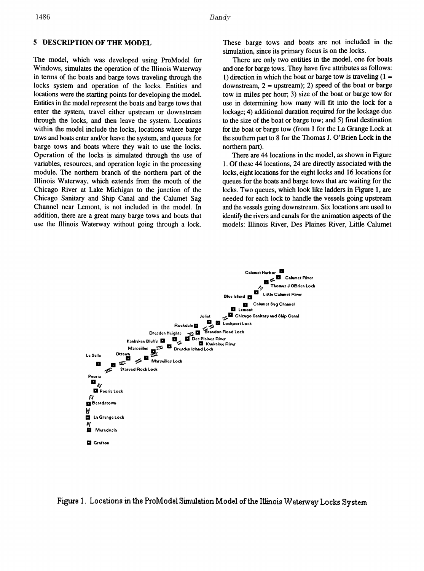# 5 DESCRIPTION OF THE MODEL

The model, which was developed using ProModel for Windows, simulates the operation of the lllinois Waterway in terms of the boats and barge tows traveling through the locks system and operation of the locks. Entities and locations were the starting points for developing the model. Entities in the model represent the boats and barge tows that enter the system, travel either upstream or downstream through the locks, and then leave the system. Locations within the model include the locks, locations where barge tows and boats enter and/or leave the system, and queues for barge tows and boats where they wait to use the locks. Operation of the locks is simulated through the use of variables, resources, and operation logic in the processing module. The northern branch of the northern part of the Illinois Waterway, which extends from the mouth of the Chicago River at Lake Michigan to the junction of the Chicago Sanitary and Ship Canal and the Calumet Sag Channel near Lemont, is not included in the model. In addition, there are a great many barge tows and boats that use the illinois Waterway without going through a lock.

These barge tows and boats are not included in the simulation, since its primary focus is on the locks.

There are only two entities in the model, one for boats and one for barge tows. They have five attributes as follows: 1) direction in which the boat or barge tow is traveling  $(1 =$ downstream,  $2 =$  upstream); 2) speed of the boat or barge tow in miles per hour; 3) size of the boat or barge tow for use in determining how many will fit into the lock for a lockage; 4) additional duration required for the lockage due to the size of the boat or barge tow; and 5) final destination for the boat or barge tow (from 1 for the La Grange Lock at the southern part to 8 for the Thomas J. O'Brien Lock in the northern part).

There are 44 locations in the model, as shown in Figure 1. Of these 44 locations, 24 are directly associated with the locks, eight locations for the eight locks and 16 locations for queues for the boats and barge tows that are waiting for the locks. Two queues, which look like ladders in Figure 1, are needed for each lock to handle the vessels going upstream and the vessels going downstream. Six locations are used to identify the rivers and canals for the animation aspects of the models: lllinois River, Des Plaines River, Little Calumet



Figure 1. Locations in the ProModel Simulation Model of the Illinois Waterway Locks System